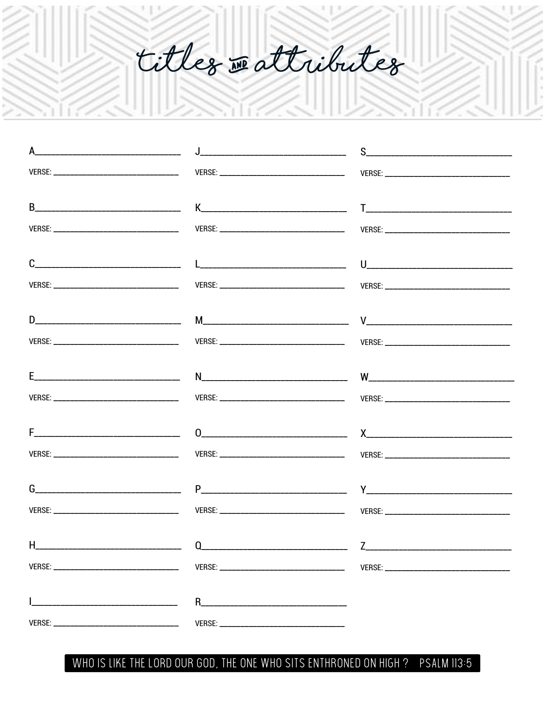titles reattributes

| $H_{\perp}$ | $\begin{picture}(180,10) \put(0,0){\vector(1,0){100}} \put(15,0){\vector(1,0){100}} \put(15,0){\vector(1,0){100}} \put(15,0){\vector(1,0){100}} \put(15,0){\vector(1,0){100}} \put(15,0){\vector(1,0){100}} \put(15,0){\vector(1,0){100}} \put(15,0){\vector(1,0){100}} \put(15,0){\vector(1,0){100}} \put(15,0){\vector(1,0){100}} \put(15,0){\vector(1,0){100}}$ |  |
|-------------|--------------------------------------------------------------------------------------------------------------------------------------------------------------------------------------------------------------------------------------------------------------------------------------------------------------------------------------------------------------------|--|
|             |                                                                                                                                                                                                                                                                                                                                                                    |  |
|             |                                                                                                                                                                                                                                                                                                                                                                    |  |
|             |                                                                                                                                                                                                                                                                                                                                                                    |  |

WHO IS LIKE THE LORD OUR GOD, THE ONE WHO SITS ENTHRONED ON HIGH ? **PSALM 113:5**